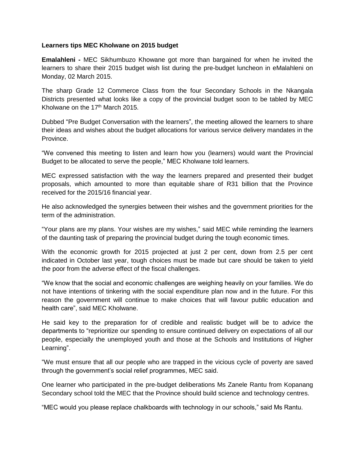## **Learners tips MEC Kholwane on 2015 budget**

**Emalahleni -** MEC Sikhumbuzo Khowane got more than bargained for when he invited the learners to share their 2015 budget wish list during the pre-budget luncheon in eMalahleni on Monday, 02 March 2015.

The sharp Grade 12 Commerce Class from the four Secondary Schools in the Nkangala Districts presented what looks like a copy of the provincial budget soon to be tabled by MEC Kholwane on the 17<sup>th</sup> March 2015.

Dubbed "Pre Budget Conversation with the learners", the meeting allowed the learners to share their ideas and wishes about the budget allocations for various service delivery mandates in the Province.

"We convened this meeting to listen and learn how you (learners) would want the Provincial Budget to be allocated to serve the people," MEC Kholwane told learners.

MEC expressed satisfaction with the way the learners prepared and presented their budget proposals, which amounted to more than equitable share of R31 billion that the Province received for the 2015/16 financial year.

He also acknowledged the synergies between their wishes and the government priorities for the term of the administration.

"Your plans are my plans. Your wishes are my wishes," said MEC while reminding the learners of the daunting task of preparing the provincial budget during the tough economic times.

With the economic growth for 2015 projected at just 2 per cent, down from 2.5 per cent indicated in October last year, tough choices must be made but care should be taken to yield the poor from the adverse effect of the fiscal challenges.

"We know that the social and economic challenges are weighing heavily on your families. We do not have intentions of tinkering with the social expenditure plan now and in the future. For this reason the government will continue to make choices that will favour public education and health care", said MEC Kholwane.

He said key to the preparation for of credible and realistic budget will be to advice the departments to "reprioritize our spending to ensure continued delivery on expectations of all our people, especially the unemployed youth and those at the Schools and Institutions of Higher Learning".

"We must ensure that all our people who are trapped in the vicious cycle of poverty are saved through the government's social relief programmes, MEC said.

One learner who participated in the pre-budget deliberations Ms Zanele Rantu from Kopanang Secondary school told the MEC that the Province should build science and technology centres.

"MEC would you please replace chalkboards with technology in our schools," said Ms Rantu.